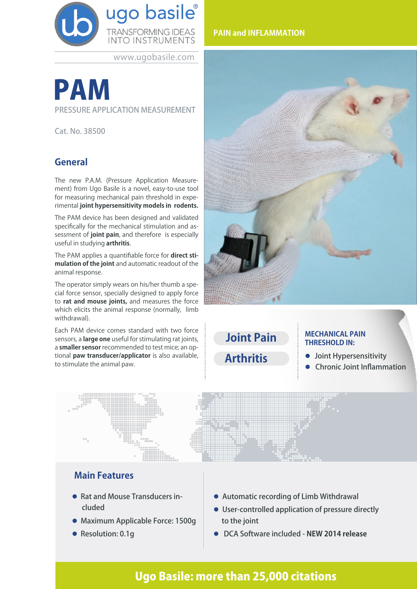

www.ugobasile.com

# PAM

PRESSURE APPLICATION MEASUREMENT

Cat. No. 38500

## **General**

The new P.A.M. (Pressure Application Measurement) from Ugo Basile is a novel, easy-to-use tool for measuring mechanical pain threshold in experimental **joint hypersensitivity models in rodents.**

The PAM device has been designed and validated specifically for the mechanical stimulation and assessment of **joint pain**, and therefore is especially useful in studying **arthritis**.

The PAM applies a quantifiable force for **direct stimulation of the joint** and automatic readout of the animal response.

The operator simply wears on his/her thumb a special force sensor, specially designed to apply force to **rat and mouse joints,** and measures the force which elicits the animal response (normally, limb withdrawal).

Each PAM device comes standard with two force sensors, a **large one** useful for stimulating rat joints, a **smaller sensor** recommended to test mice; an optional **paw transducer/applicator** is also available, to stimulate the animal paw.

### **PAIN and INFLAMMATION**



**Joint Pain**

**Arthritis**

#### **MECHANICAL PAIN THRESHOLD IN:**

- **·** Joint Hypersensitivity
- **Chronic Joint Inflammation**



## **Main Features**

- Rat and Mouse Transducers included
- **Maximum Applicable Force: 1500g**
- Resolution: 0.1g
- **Automatic recording of Limb Withdrawal**
- **.** User-controlled application of pressure directly to the joint
- l DCA Software included **NEW 2014 release**

# Ugo Basile: more than 25,000 citations